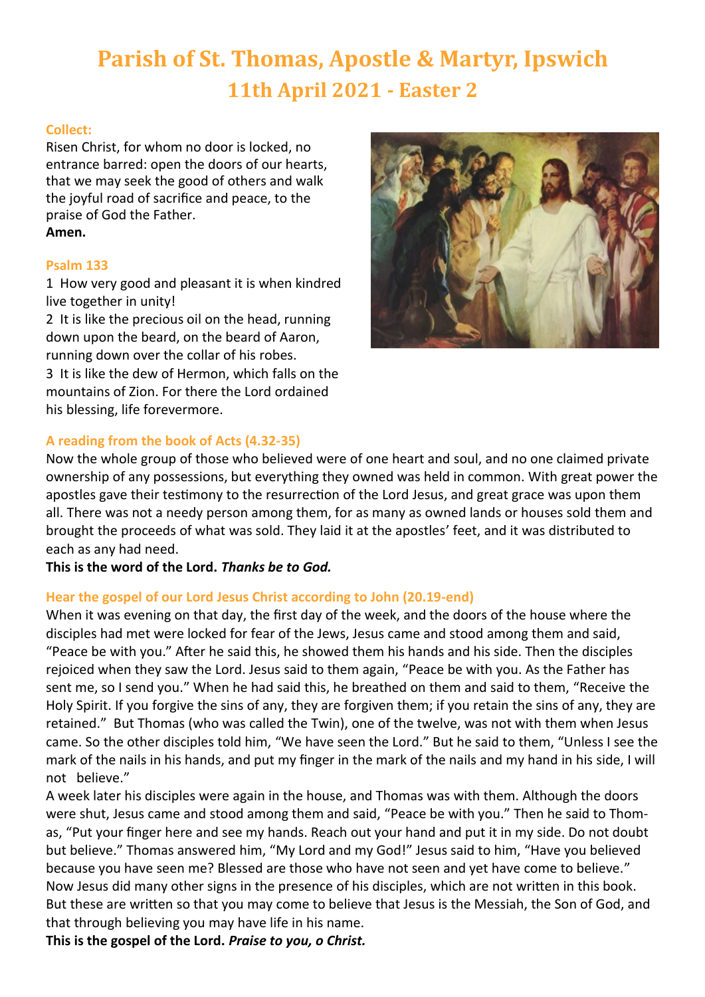# **Parish of St. Thomas, Apostle & Martyr, Ipswich 11th April 2021 - Easter 2**

# **Collect:**

Risen Christ, for whom no door is locked, no entrance barred: open the doors of our hearts, that we may seek the good of others and walk the joyful road of sacrifice and peace, to the praise of God the Father. **Amen.**

#### **Psalm 133**

1 How very good and pleasant it is when kindred live together in unity!

2 It is like the precious oil on the head, running down upon the beard, on the beard of Aaron, running down over the collar of his robes. 3 It is like the dew of Hermon, which falls on the mountains of Zion. For there the Lord ordained his blessing, life forevermore.



# **A reading from the book of Acts (4.32-35)**

Now the whole group of those who believed were of one heart and soul, and no one claimed private ownership of any possessions, but everything they owned was held in common. With great power the apostles gave their testimony to the resurrection of the Lord Jesus, and great grace was upon them all. There was not a needy person among them, for as many as owned lands or houses sold them and brought the proceeds of what was sold. They laid it at the apostles' feet, and it was distributed to each as any had need.

**This is the word of the Lord.** *Thanks be to God.*

# **Hear the gospel of our Lord Jesus Christ according to John (20.19-end)**

When it was evening on that day, the first day of the week, and the doors of the house where the disciples had met were locked for fear of the Jews, Jesus came and stood among them and said, "Peace be with you." After he said this, he showed them his hands and his side. Then the disciples rejoiced when they saw the Lord. Jesus said to them again, "Peace be with you. As the Father has sent me, so I send you." When he had said this, he breathed on them and said to them, "Receive the Holy Spirit. If you forgive the sins of any, they are forgiven them; if you retain the sins of any, they are retained." But Thomas (who was called the Twin), one of the twelve, was not with them when Jesus came. So the other disciples told him, "We have seen the Lord." But he said to them, "Unless I see the mark of the nails in his hands, and put my finger in the mark of the nails and my hand in his side, I will not believe."

A week later his disciples were again in the house, and Thomas was with them. Although the doors were shut, Jesus came and stood among them and said, "Peace be with you." Then he said to Thomas, "Put your finger here and see my hands. Reach out your hand and put it in my side. Do not doubt but believe." Thomas answered him, "My Lord and my God!" Jesus said to him, "Have you believed because you have seen me? Blessed are those who have not seen and yet have come to believe." Now Jesus did many other signs in the presence of his disciples, which are not written in this book. But these are written so that you may come to believe that Jesus is the Messiah, the Son of God, and that through believing you may have life in his name.

**This is the gospel of the Lord.** *Praise to you, o Christ.*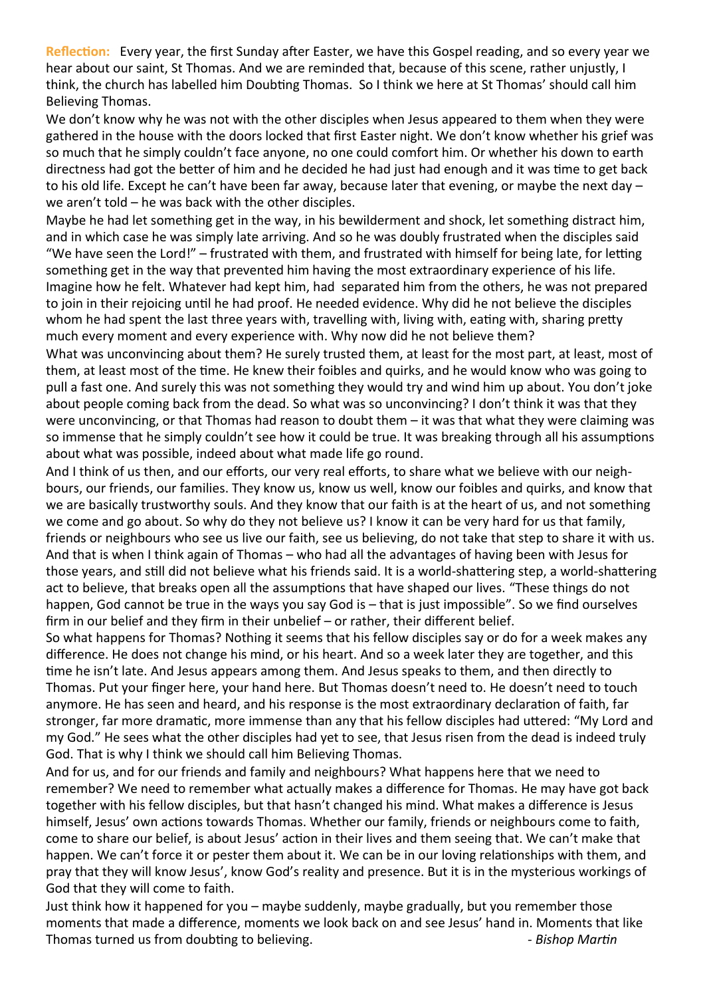**Reflection:** Every year, the first Sunday after Easter, we have this Gospel reading, and so every year we hear about our saint, St Thomas. And we are reminded that, because of this scene, rather unjustly, I think, the church has labelled him Doubting Thomas. So I think we here at St Thomas' should call him Believing Thomas.

We don't know why he was not with the other disciples when Jesus appeared to them when they were gathered in the house with the doors locked that first Easter night. We don't know whether his grief was so much that he simply couldn't face anyone, no one could comfort him. Or whether his down to earth directness had got the better of him and he decided he had just had enough and it was time to get back to his old life. Except he can't have been far away, because later that evening, or maybe the next day – we aren't told – he was back with the other disciples.

Maybe he had let something get in the way, in his bewilderment and shock, let something distract him, and in which case he was simply late arriving. And so he was doubly frustrated when the disciples said "We have seen the Lord!" – frustrated with them, and frustrated with himself for being late, for letting something get in the way that prevented him having the most extraordinary experience of his life. Imagine how he felt. Whatever had kept him, had separated him from the others, he was not prepared to join in their rejoicing until he had proof. He needed evidence. Why did he not believe the disciples whom he had spent the last three years with, travelling with, living with, eating with, sharing pretty much every moment and every experience with. Why now did he not believe them?

What was unconvincing about them? He surely trusted them, at least for the most part, at least, most of them, at least most of the time. He knew their foibles and quirks, and he would know who was going to pull a fast one. And surely this was not something they would try and wind him up about. You don't joke about people coming back from the dead. So what was so unconvincing? I don't think it was that they were unconvincing, or that Thomas had reason to doubt them – it was that what they were claiming was so immense that he simply couldn't see how it could be true. It was breaking through all his assumptions about what was possible, indeed about what made life go round.

And I think of us then, and our efforts, our very real efforts, to share what we believe with our neighbours, our friends, our families. They know us, know us well, know our foibles and quirks, and know that we are basically trustworthy souls. And they know that our faith is at the heart of us, and not something we come and go about. So why do they not believe us? I know it can be very hard for us that family, friends or neighbours who see us live our faith, see us believing, do not take that step to share it with us. And that is when I think again of Thomas – who had all the advantages of having been with Jesus for those years, and still did not believe what his friends said. It is a world-shattering step, a world-shattering act to believe, that breaks open all the assumptions that have shaped our lives. "These things do not happen, God cannot be true in the ways you say God is – that is just impossible". So we find ourselves firm in our belief and they firm in their unbelief – or rather, their different belief.

So what happens for Thomas? Nothing it seems that his fellow disciples say or do for a week makes any difference. He does not change his mind, or his heart. And so a week later they are together, and this time he isn't late. And Jesus appears among them. And Jesus speaks to them, and then directly to Thomas. Put your finger here, your hand here. But Thomas doesn't need to. He doesn't need to touch anymore. He has seen and heard, and his response is the most extraordinary declaration of faith, far stronger, far more dramatic, more immense than any that his fellow disciples had uttered: "My Lord and my God." He sees what the other disciples had yet to see, that Jesus risen from the dead is indeed truly God. That is why I think we should call him Believing Thomas.

And for us, and for our friends and family and neighbours? What happens here that we need to remember? We need to remember what actually makes a difference for Thomas. He may have got back together with his fellow disciples, but that hasn't changed his mind. What makes a difference is Jesus himself, Jesus' own actions towards Thomas. Whether our family, friends or neighbours come to faith, come to share our belief, is about Jesus' action in their lives and them seeing that. We can't make that happen. We can't force it or pester them about it. We can be in our loving relationships with them, and pray that they will know Jesus', know God's reality and presence. But it is in the mysterious workings of God that they will come to faith.

Just think how it happened for you – maybe suddenly, maybe gradually, but you remember those moments that made a difference, moments we look back on and see Jesus' hand in. Moments that like Thomas turned us from doubting to believing. *- Bishop Martin*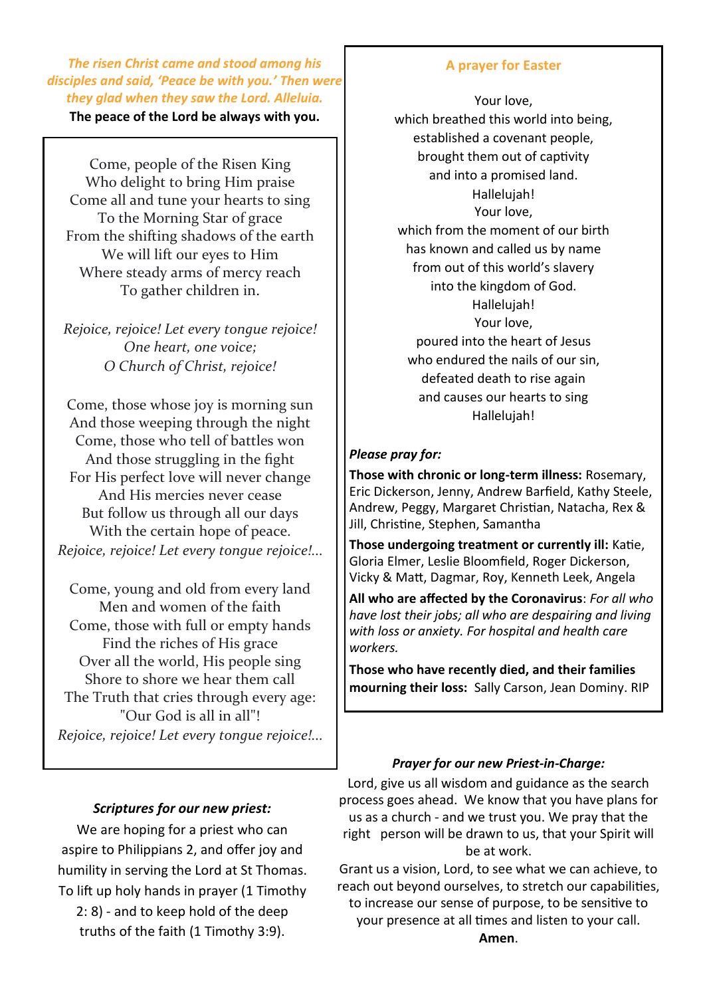*The risen Christ came and stood among his disciples and said, 'Peace be with you.' Then were they glad when they saw the Lord. Alleluia.*

**The peace of the Lord be always with you.**

Come, people of the Risen King Who delight to bring Him praise Come all and tune your hearts to sing To the Morning Star of grace From the shifting shadows of the earth We will lift our eyes to Him Where steady arms of mercy reach To gather children in.

*Rejoice, rejoice! Let every tongue rejoice! One heart, one voice; O Church of Christ, rejoice!*

Come, those whose joy is morning sun And those weeping through the night Come, those who tell of battles won And those struggling in the fight For His perfect love will never change And His mercies never cease But follow us through all our days With the certain hope of peace. *Rejoice, rejoice! Let every tongue rejoice!...*

Come, young and old from every land Men and women of the faith Come, those with full or empty hands Find the riches of His grace Over all the world, His people sing Shore to shore we hear them call The Truth that cries through every age: "Our God is all in all"! *Rejoice, rejoice! Let every tongue rejoice!...*

#### **A prayer for Easter**

Your love, which breathed this world into being, established a covenant people, brought them out of captivity and into a promised land. Hallelujah! Your love, which from the moment of our birth has known and called us by name from out of this world's slavery into the kingdom of God. Hallelujah! Your love, poured into the heart of Jesus who endured the nails of our sin, defeated death to rise again and causes our hearts to sing Hallelujah!

#### *Please pray for:*

**Those with chronic or long-term illness:** Rosemary, Eric Dickerson, Jenny, Andrew Barfield, Kathy Steele, Andrew, Peggy, Margaret Christian, Natacha, Rex & Jill, Christine, Stephen, Samantha

**Those undergoing treatment or currently ill:** Katie, Gloria Elmer, Leslie Bloomfield, Roger Dickerson, Vicky & Matt, Dagmar, Roy, Kenneth Leek, Angela

**All who are affected by the Coronavirus**: *For all who have lost their jobs; all who are despairing and living with loss or anxiety. For hospital and health care workers.*

**Those who have recently died, and their families mourning their loss:** Sally Carson, Jean Dominy. RIP

#### *Prayer for our new Priest-in-Charge:*

Lord, give us all wisdom and guidance as the search process goes ahead. We know that you have plans for us as a church - and we trust you. We pray that the right person will be drawn to us, that your Spirit will be at work.

Grant us a vision, Lord, to see what we can achieve, to reach out beyond ourselves, to stretch our capabilities, to increase our sense of purpose, to be sensitive to your presence at all times and listen to your call.

We are hoping for a priest who can aspire to Philippians 2, and offer joy and humility in serving the Lord at St Thomas. To lift up holy hands in prayer (1 Timothy 2: 8) - and to keep hold of the deep truths of the faith (1 Timothy 3:9).